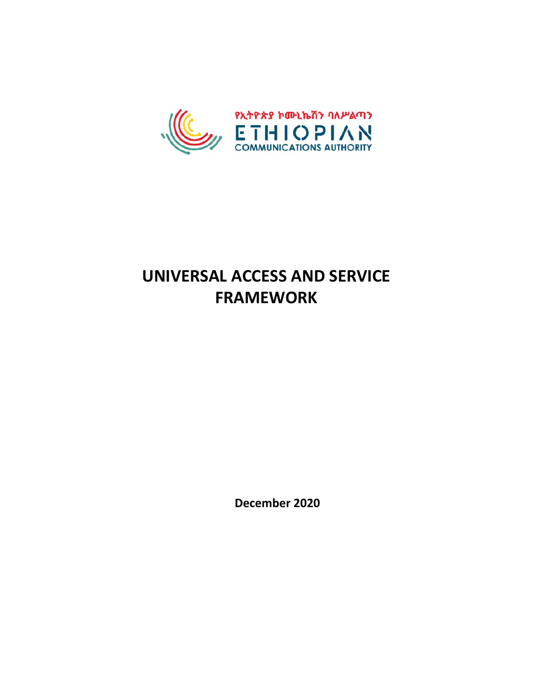

# **UNIVERSAL ACCESS AND SERVICE FRAMEWORK**

**December 2020**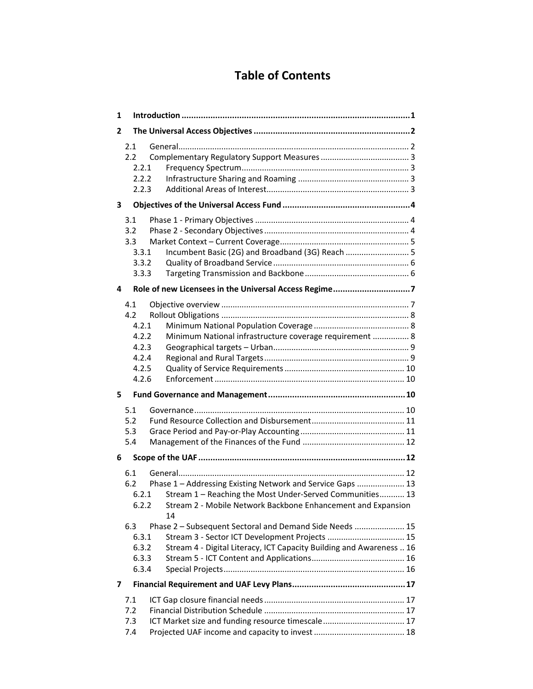# **Table of Contents**

| 1 |                                                                                                                                                                                                                              |
|---|------------------------------------------------------------------------------------------------------------------------------------------------------------------------------------------------------------------------------|
| 2 |                                                                                                                                                                                                                              |
|   | 2.1<br>2.2<br>2.2.1<br>2.2.2<br>2.2.3                                                                                                                                                                                        |
| з |                                                                                                                                                                                                                              |
|   | 3.1<br>3.2<br>3.3<br>Incumbent Basic (2G) and Broadband (3G) Reach  5<br>3.3.1<br>3.3.2<br>3.3.3                                                                                                                             |
| 4 |                                                                                                                                                                                                                              |
|   | 4.1<br>4.2<br>4.2.1<br>4.2.2<br>Minimum National infrastructure coverage requirement  8<br>4.2.3<br>4.2.4<br>4.2.5<br>4.2.6                                                                                                  |
| 5 |                                                                                                                                                                                                                              |
|   | 5.1<br>5.2<br>5.3<br>5.4                                                                                                                                                                                                     |
| 6 |                                                                                                                                                                                                                              |
|   | 6.1<br>Phase 1 - Addressing Existing Network and Service Gaps  13<br>6.2<br>Stream 1 - Reaching the Most Under-Served Communities 13<br>6.2.1<br>6.2.2<br>Stream 2 - Mobile Network Backbone Enhancement and Expansion<br>14 |
|   | 6.3<br>Phase 2 - Subsequent Sectoral and Demand Side Needs  15<br>Stream 3 - Sector ICT Development Projects  15<br>6.3.1<br>Stream 4 - Digital Literacy, ICT Capacity Building and Awareness  16<br>6.3.2<br>6.3.3<br>6.3.4 |
| 7 |                                                                                                                                                                                                                              |
|   | 7.1<br>7.2<br>ICT Market size and funding resource timescale 17<br>7.3<br>7.4                                                                                                                                                |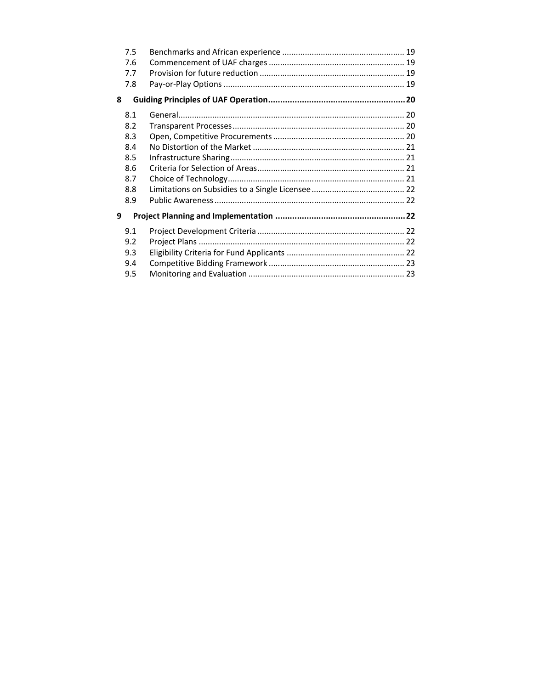| 7.5 |  |
|-----|--|
| 7.6 |  |
| 7.7 |  |
| 7.8 |  |
| 8   |  |
| 8.1 |  |
| 8.2 |  |
| 8.3 |  |
| 8.4 |  |
| 8.5 |  |
| 8.6 |  |
| 8.7 |  |
| 8.8 |  |
| 8.9 |  |
| 9   |  |
| 9.1 |  |
| 9.2 |  |
| 9.3 |  |
| 9.4 |  |
| 9.5 |  |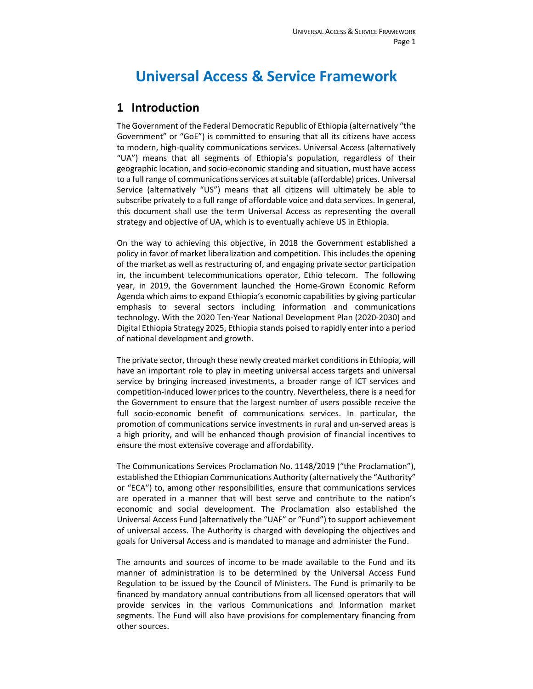# **Universal Access & Service Framework**

## **1 Introduction**

The Government of the Federal Democratic Republic of Ethiopia (alternatively "the Government" or "GoE") is committed to ensuring that all its citizens have access to modern, high‐quality communications services. Universal Access (alternatively "UA") means that all segments of Ethiopia's population, regardless of their geographic location, and socio‐economic standing and situation, must have access to a full range of communications services at suitable (affordable) prices. Universal Service (alternatively "US") means that all citizens will ultimately be able to subscribe privately to a full range of affordable voice and data services. In general, this document shall use the term Universal Access as representing the overall strategy and objective of UA, which is to eventually achieve US in Ethiopia.

On the way to achieving this objective, in 2018 the Government established a policy in favor of market liberalization and competition. This includes the opening of the market as well as restructuring of, and engaging private sector participation in, the incumbent telecommunications operator, Ethio telecom. The following year, in 2019, the Government launched the Home‐Grown Economic Reform Agenda which aims to expand Ethiopia's economic capabilities by giving particular emphasis to several sectors including information and communications technology. With the 2020 Ten‐Year National Development Plan (2020‐2030) and Digital Ethiopia Strategy 2025, Ethiopia stands poised to rapidly enter into a period of national development and growth.

The private sector, through these newly created market conditions in Ethiopia, will have an important role to play in meeting universal access targets and universal service by bringing increased investments, a broader range of ICT services and competition‐induced lower prices to the country. Nevertheless, there is a need for the Government to ensure that the largest number of users possible receive the full socio‐economic benefit of communications services. In particular, the promotion of communications service investments in rural and un‐served areas is a high priority, and will be enhanced though provision of financial incentives to ensure the most extensive coverage and affordability.

The Communications Services Proclamation No. 1148/2019 ("the Proclamation"), established the Ethiopian Communications Authority (alternatively the "Authority" or "ECA") to, among other responsibilities, ensure that communications services are operated in a manner that will best serve and contribute to the nation's economic and social development. The Proclamation also established the Universal Access Fund (alternatively the "UAF" or "Fund") to support achievement of universal access. The Authority is charged with developing the objectives and goals for Universal Access and is mandated to manage and administer the Fund.

The amounts and sources of income to be made available to the Fund and its manner of administration is to be determined by the Universal Access Fund Regulation to be issued by the Council of Ministers. The Fund is primarily to be financed by mandatory annual contributions from all licensed operators that will provide services in the various Communications and Information market segments. The Fund will also have provisions for complementary financing from other sources.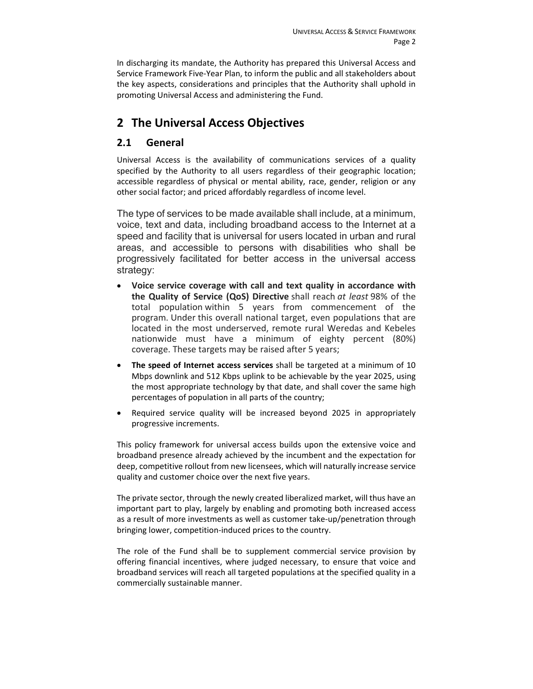In discharging its mandate, the Authority has prepared this Universal Access and Service Framework Five‐Year Plan, to inform the public and all stakeholders about the key aspects, considerations and principles that the Authority shall uphold in promoting Universal Access and administering the Fund.

# **2 The Universal Access Objectives**

## **2.1 General**

Universal Access is the availability of communications services of a quality specified by the Authority to all users regardless of their geographic location; accessible regardless of physical or mental ability, race, gender, religion or any other social factor; and priced affordably regardless of income level.

The type of services to be made available shall include, at a minimum, voice, text and data, including broadband access to the Internet at a speed and facility that is universal for users located in urban and rural areas, and accessible to persons with disabilities who shall be progressively facilitated for better access in the universal access strategy:

- **Voice service coverage with call and text quality in accordance with the Quality of Service (QoS) Directive** shall reach *at least* 98% of the total population within 5 years from commencement of the program. Under this overall national target, even populations that are located in the most underserved, remote rural Weredas and Kebeles nationwide must have a minimum of eighty percent (80%) coverage. These targets may be raised after 5 years;
- **The speed of Internet access services** shall be targeted at a minimum of 10 Mbps downlink and 512 Kbps uplink to be achievable by the year 2025, using the most appropriate technology by that date, and shall cover the same high percentages of population in all parts of the country;
- Required service quality will be increased beyond 2025 in appropriately progressive increments.

This policy framework for universal access builds upon the extensive voice and broadband presence already achieved by the incumbent and the expectation for deep, competitive rollout from new licensees, which will naturally increase service quality and customer choice over the next five years.

The private sector, through the newly created liberalized market, will thus have an important part to play, largely by enabling and promoting both increased access as a result of more investments as well as customer take‐up/penetration through bringing lower, competition‐induced prices to the country.

The role of the Fund shall be to supplement commercial service provision by offering financial incentives, where judged necessary, to ensure that voice and broadband services will reach all targeted populations at the specified quality in a commercially sustainable manner.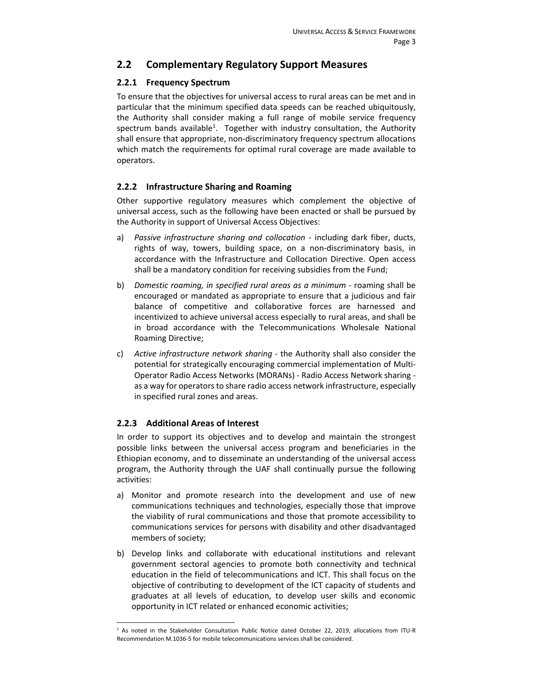## **2.2 Complementary Regulatory Support Measures**

#### **2.2.1 Frequency Spectrum**

To ensure that the objectives for universal access to rural areas can be met and in particular that the minimum specified data speeds can be reached ubiquitously, the Authority shall consider making a full range of mobile service frequency spectrum bands available<sup>1</sup>. Together with industry consultation, the Authority shall ensure that appropriate, non‐discriminatory frequency spectrum allocations which match the requirements for optimal rural coverage are made available to operators.

#### **2.2.2 Infrastructure Sharing and Roaming**

Other supportive regulatory measures which complement the objective of universal access, such as the following have been enacted or shall be pursued by the Authority in support of Universal Access Objectives:

- a) *Passive infrastructure sharing and collocation* including dark fiber, ducts, rights of way, towers, building space, on a non‐discriminatory basis, in accordance with the Infrastructure and Collocation Directive. Open access shall be a mandatory condition for receiving subsidies from the Fund;
- b) *Domestic roaming, in specified rural areas as a minimum* ‐ roaming shall be encouraged or mandated as appropriate to ensure that a judicious and fair balance of competitive and collaborative forces are harnessed and incentivized to achieve universal access especially to rural areas, and shall be in broad accordance with the Telecommunications Wholesale National Roaming Directive;
- c) *Active infrastructure network sharing* ‐ the Authority shall also consider the potential for strategically encouraging commercial implementation of Multi‐ Operator Radio Access Networks (MORANs) ‐ Radio Access Network sharing ‐ as a way for operators to share radio access network infrastructure, especially in specified rural zones and areas.

#### **2.2.3 Additional Areas of Interest**

In order to support its objectives and to develop and maintain the strongest possible links between the universal access program and beneficiaries in the Ethiopian economy, and to disseminate an understanding of the universal access program, the Authority through the UAF shall continually pursue the following activities:

- a) Monitor and promote research into the development and use of new communications techniques and technologies, especially those that improve the viability of rural communications and those that promote accessibility to communications services for persons with disability and other disadvantaged members of society;
- b) Develop links and collaborate with educational institutions and relevant government sectoral agencies to promote both connectivity and technical education in the field of telecommunications and ICT. This shall focus on the objective of contributing to development of the ICT capacity of students and graduates at all levels of education, to develop user skills and economic opportunity in ICT related or enhanced economic activities;

<sup>1</sup> As noted in the Stakeholder Consultation Public Notice dated October 22, 2019, allocations from ITU‐R Recommendation M.1036‐5 for mobile telecommunications services shall be considered.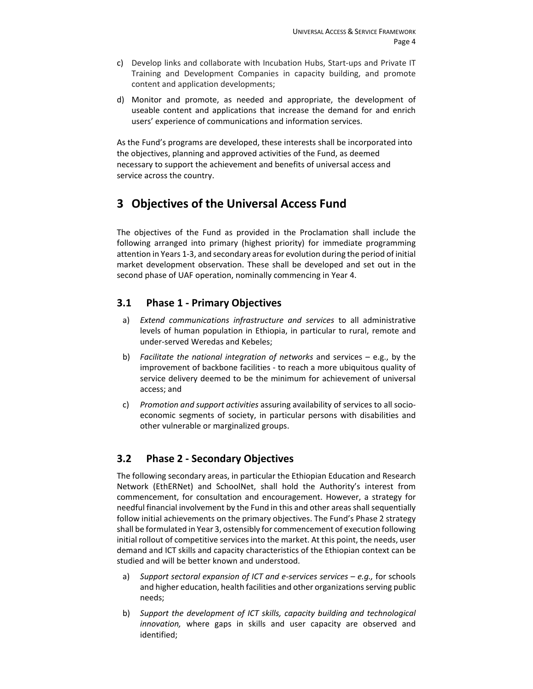- c) Develop links and collaborate with Incubation Hubs, Start-ups and Private IT Training and Development Companies in capacity building, and promote content and application developments;
- d) Monitor and promote, as needed and appropriate, the development of useable content and applications that increase the demand for and enrich users' experience of communications and information services.

As the Fund's programs are developed, these interests shall be incorporated into the objectives, planning and approved activities of the Fund, as deemed necessary to support the achievement and benefits of universal access and service across the country.

## **3 Objectives of the Universal Access Fund**

The objectives of the Fund as provided in the Proclamation shall include the following arranged into primary (highest priority) for immediate programming attention in Years 1‐3, and secondary areas for evolution during the period of initial market development observation. These shall be developed and set out in the second phase of UAF operation, nominally commencing in Year 4.

#### **3.1 Phase 1 ‐ Primary Objectives**

- a) *Extend communications infrastructure and services* to all administrative levels of human population in Ethiopia, in particular to rural, remote and under‐served Weredas and Kebeles;
- b) *Facilitate the national integration of networks* and services e.g., by the improvement of backbone facilities ‐ to reach a more ubiquitous quality of service delivery deemed to be the minimum for achievement of universal access; and
- c) *Promotion and support activities* assuring availability of services to all socio‐ economic segments of society, in particular persons with disabilities and other vulnerable or marginalized groups.

## **3.2 Phase 2 ‐ Secondary Objectives**

The following secondary areas, in particular the Ethiopian Education and Research Network (EthERNet) and SchoolNet, shall hold the Authority's interest from commencement, for consultation and encouragement. However, a strategy for needful financial involvement by the Fund in this and other areas shall sequentially follow initial achievements on the primary objectives. The Fund's Phase 2 strategy shall be formulated in Year 3, ostensibly for commencement of execution following initial rollout of competitive services into the market. At this point, the needs, user demand and ICT skills and capacity characteristics of the Ethiopian context can be studied and will be better known and understood.

- a) *Support sectoral expansion of ICT and e‐services services e.g.,* for schools and higher education, health facilities and other organizations serving public needs;
- b) *Support the development of ICT skills, capacity building and technological innovation,* where gaps in skills and user capacity are observed and identified;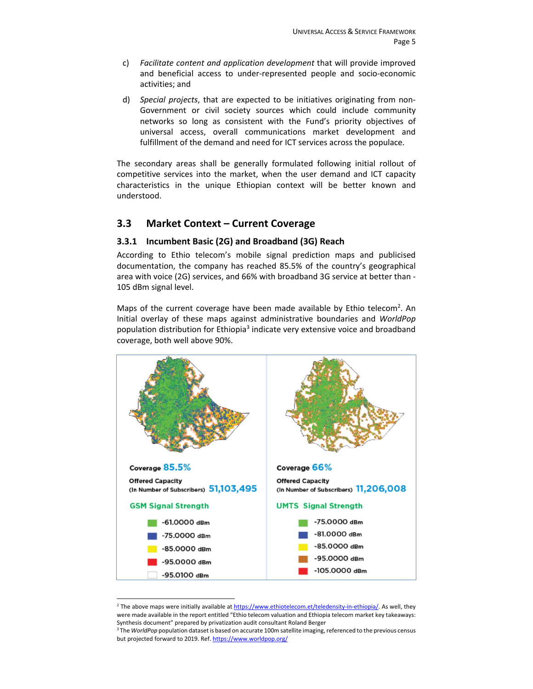- c) *Facilitate content and application development* that will provide improved and beneficial access to under‐represented people and socio‐economic activities; and
- d) *Special projects*, that are expected to be initiatives originating from non‐ Government or civil society sources which could include community networks so long as consistent with the Fund's priority objectives of universal access, overall communications market development and fulfillment of the demand and need for ICT services across the populace.

The secondary areas shall be generally formulated following initial rollout of competitive services into the market, when the user demand and ICT capacity characteristics in the unique Ethiopian context will be better known and understood.

#### **3.3 Market Context – Current Coverage**

#### **3.3.1 Incumbent Basic (2G) and Broadband (3G) Reach**

According to Ethio telecom's mobile signal prediction maps and publicised documentation, the company has reached 85.5% of the country's geographical area with voice (2G) services, and 66% with broadband 3G service at better than ‐ 105 dBm signal level.

Maps of the current coverage have been made available by Ethio telecom<sup>2</sup>. An Initial overlay of these maps against administrative boundaries and *WorldPop* population distribution for Ethiopia<sup>3</sup> indicate very extensive voice and broadband coverage, both well above 90%.



<sup>&</sup>lt;sup>2</sup> The above maps were initially available at https://www.ethiotelecom.et/teledensity-in-ethiopia/. As well, they were made available in the report entitled "Ethio telecom valuation and Ethiopia telecom market key takeaways: Synthesis document" prepared by privatization audit consultant Roland Berger

<sup>3</sup> The *WorldPop* population dataset is based on accurate 100m satellite imaging, referenced to the previous census but projected forward to 2019. Ref. https://www.worldpop.org/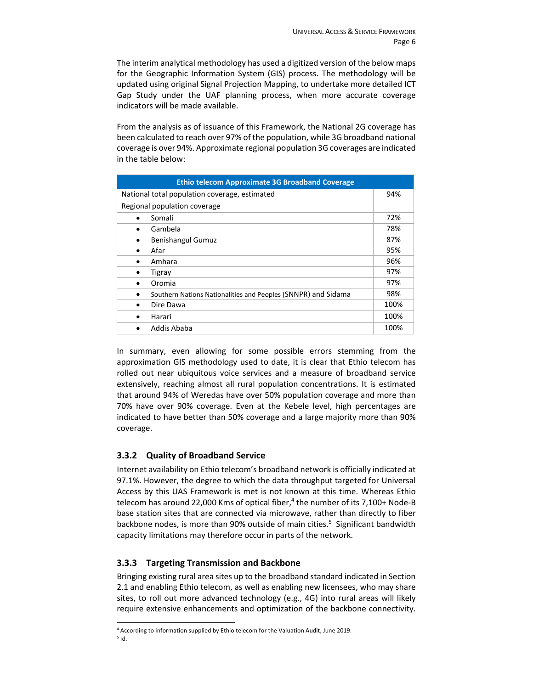The interim analytical methodology has used a digitized version of the below maps for the Geographic Information System (GIS) process. The methodology will be updated using original Signal Projection Mapping, to undertake more detailed ICT Gap Study under the UAF planning process, when more accurate coverage indicators will be made available.

From the analysis as of issuance of this Framework, the National 2G coverage has been calculated to reach over 97% of the population, while 3G broadband national coverage is over 94%. Approximate regional population 3G coverages are indicated in the table below:

| <b>Ethio telecom Approximate 3G Broadband Coverage</b>             |      |  |  |  |  |  |  |  |
|--------------------------------------------------------------------|------|--|--|--|--|--|--|--|
| National total population coverage, estimated                      |      |  |  |  |  |  |  |  |
| Regional population coverage                                       |      |  |  |  |  |  |  |  |
| Somali                                                             | 72%  |  |  |  |  |  |  |  |
| Gambela                                                            | 78%  |  |  |  |  |  |  |  |
| <b>Benishangul Gumuz</b><br>٠                                      | 87%  |  |  |  |  |  |  |  |
| Afar<br>$\bullet$                                                  | 95%  |  |  |  |  |  |  |  |
| Amhara                                                             | 96%  |  |  |  |  |  |  |  |
| Tigray<br>٠                                                        | 97%  |  |  |  |  |  |  |  |
| Oromia<br>٠                                                        | 97%  |  |  |  |  |  |  |  |
| Southern Nations Nationalities and Peoples (SNNPR) and Sidama<br>٠ | 98%  |  |  |  |  |  |  |  |
| Dire Dawa<br>٠                                                     | 100% |  |  |  |  |  |  |  |
| Harari<br>$\bullet$                                                | 100% |  |  |  |  |  |  |  |
| Addis Ababa                                                        | 100% |  |  |  |  |  |  |  |

In summary, even allowing for some possible errors stemming from the approximation GIS methodology used to date, it is clear that Ethio telecom has rolled out near ubiquitous voice services and a measure of broadband service extensively, reaching almost all rural population concentrations. It is estimated that around 94% of Weredas have over 50% population coverage and more than 70% have over 90% coverage. Even at the Kebele level, high percentages are indicated to have better than 50% coverage and a large majority more than 90% coverage.

#### **3.3.2 Quality of Broadband Service**

Internet availability on Ethio telecom's broadband network is officially indicated at 97.1%. However, the degree to which the data throughput targeted for Universal Access by this UAS Framework is met is not known at this time. Whereas Ethio telecom has around 22,000 Kms of optical fiber,<sup>4</sup> the number of its 7,100+ Node-B base station sites that are connected via microwave, rather than directly to fiber backbone nodes, is more than 90% outside of main cities.<sup>5</sup> Significant bandwidth capacity limitations may therefore occur in parts of the network.

#### **3.3.3 Targeting Transmission and Backbone**

Bringing existing rural area sites up to the broadband standard indicated in Section 2.1 and enabling Ethio telecom, as well as enabling new licensees, who may share sites, to roll out more advanced technology (e.g., 4G) into rural areas will likely require extensive enhancements and optimization of the backbone connectivity.

<sup>4</sup> According to information supplied by Ethio telecom for the Valuation Audit, June 2019.  $<sup>5</sup>$  Id.</sup>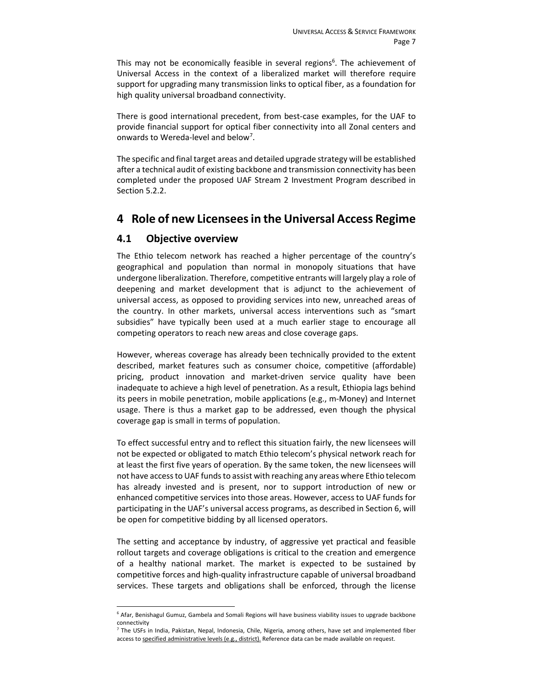This may not be economically feasible in several regions<sup>6</sup>. The achievement of Universal Access in the context of a liberalized market will therefore require support for upgrading many transmission links to optical fiber, as a foundation for high quality universal broadband connectivity.

There is good international precedent, from best-case examples, for the UAF to provide financial support for optical fiber connectivity into all Zonal centers and onwards to Wereda-level and below<sup>7</sup>.

The specific and final target areas and detailed upgrade strategy will be established after a technical audit of existing backbone and transmission connectivity has been completed under the proposed UAF Stream 2 Investment Program described in Section 5.2.2.

## **4 Role of new Licensees in the Universal Access Regime**

#### **4.1 Objective overview**

The Ethio telecom network has reached a higher percentage of the country's geographical and population than normal in monopoly situations that have undergone liberalization. Therefore, competitive entrants will largely play a role of deepening and market development that is adjunct to the achievement of universal access, as opposed to providing services into new, unreached areas of the country. In other markets, universal access interventions such as "smart subsidies" have typically been used at a much earlier stage to encourage all competing operators to reach new areas and close coverage gaps.

However, whereas coverage has already been technically provided to the extent described, market features such as consumer choice, competitive (affordable) pricing, product innovation and market‐driven service quality have been inadequate to achieve a high level of penetration. As a result, Ethiopia lags behind its peers in mobile penetration, mobile applications (e.g., m‐Money) and Internet usage. There is thus a market gap to be addressed, even though the physical coverage gap is small in terms of population.

To effect successful entry and to reflect this situation fairly, the new licensees will not be expected or obligated to match Ethio telecom's physical network reach for at least the first five years of operation. By the same token, the new licensees will not have access to UAF funds to assist with reaching any areas where Ethio telecom has already invested and is present, nor to support introduction of new or enhanced competitive services into those areas. However, access to UAF funds for participating in the UAF's universal access programs, as described in Section 6, will be open for competitive bidding by all licensed operators.

The setting and acceptance by industry, of aggressive yet practical and feasible rollout targets and coverage obligations is critical to the creation and emergence of a healthy national market. The market is expected to be sustained by competitive forces and high-quality infrastructure capable of universal broadband services. These targets and obligations shall be enforced, through the license

<sup>6</sup> Afar, Benishagul Gumuz, Gambela and Somali Regions will have business viability issues to upgrade backbone connectivity

<sup>7</sup> The USFs in India, Pakistan, Nepal, Indonesia, Chile, Nigeria, among others, have set and implemented fiber access to specified administrative levels (e.g., district). Reference data can be made available on request.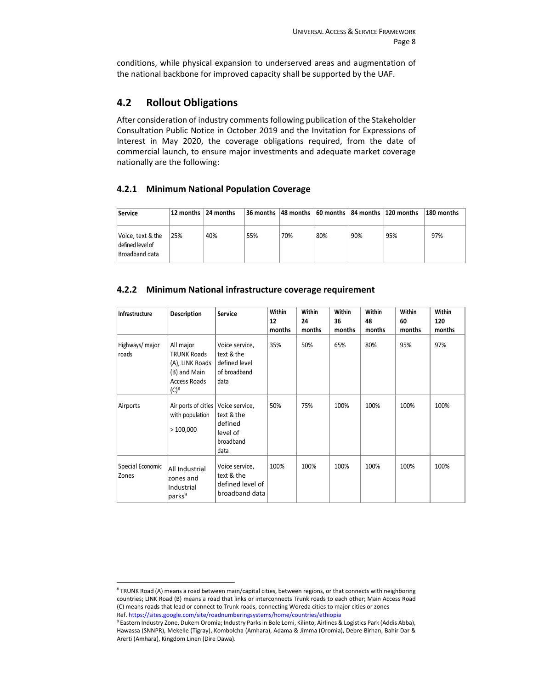conditions, while physical expansion to underserved areas and augmentation of the national backbone for improved capacity shall be supported by the UAF.

#### **4.2 Rollout Obligations**

After consideration of industry comments following publication of the Stakeholder Consultation Public Notice in October 2019 and the Invitation for Expressions of Interest in May 2020, the coverage obligations required, from the date of commercial launch, to ensure major investments and adequate market coverage nationally are the following:

#### **4.2.1 Minimum National Population Coverage**

| Service                                                 |     | 12 months 124 months |     |     |     |     | 36 months  48 months  60 months  84 months  120 months | 180 months |
|---------------------------------------------------------|-----|----------------------|-----|-----|-----|-----|--------------------------------------------------------|------------|
| Voice, text & the<br>defined level of<br>Broadband data | 25% | 40%                  | 55% | 70% | 80% | 90% | 95%                                                    | 97%        |

#### **4.2.2 Minimum National infrastructure coverage requirement**

| <b>Infrastructure</b>     | <b>Description</b>                                                                            | <b>Service</b>                                                        | Within<br>12<br>months | <b>Within</b><br>24<br>months | <b>Within</b><br>36<br>months | <b>Within</b><br>48<br>months | Within<br>60<br>months | <b>Within</b><br>120<br>months |
|---------------------------|-----------------------------------------------------------------------------------------------|-----------------------------------------------------------------------|------------------------|-------------------------------|-------------------------------|-------------------------------|------------------------|--------------------------------|
| Highways/ major<br>roads  | All major<br><b>TRUNK Roads</b><br>(A), LINK Roads<br>(B) and Main<br>Access Roads<br>$(C)^8$ | Voice service,<br>text & the<br>defined level<br>of broadband<br>data | 35%                    | 50%                           | 65%                           | 80%                           | 95%                    | 97%                            |
| Airports                  | Air ports of cities   Voice service,<br>with population<br>>100,000                           | text & the<br>defined<br>level of<br>broadband<br>data                | 50%                    | 75%                           | 100%                          | 100%                          | 100%                   | 100%                           |
| Special Economic<br>Zones | All Industrial<br>zones and<br>Industrial<br>parks <sup>9</sup>                               | Voice service,<br>text & the<br>defined level of<br>broadband data    | 100%                   | 100%                          | 100%                          | 100%                          | 100%                   | 100%                           |

<sup>&</sup>lt;sup>8</sup> TRUNK Road (A) means a road between main/capital cities, between regions, or that connects with neighboring countries; LINK Road (B) means a road that links or interconnects Trunk roads to each other; Main Access Road (C) means roads that lead or connect to Trunk roads, connecting Woreda cities to major cities or zones Ref. https://sites.google.com/site/roadnumberingsystems/home/countries/ethiopia

<sup>&</sup>lt;sup>9</sup> Eastern Industry Zone, Dukem Oromia; Industry Parks in Bole Lomi, Kilinto, Airlines & Logistics Park (Addis Abba), Hawassa (SNNPR), Mekelle (Tigray), Kombolcha (Amhara), Adama & Jimma (Oromia), Debre Birhan, Bahir Dar & Arerti (Amhara), Kingdom Linen (Dire Dawa).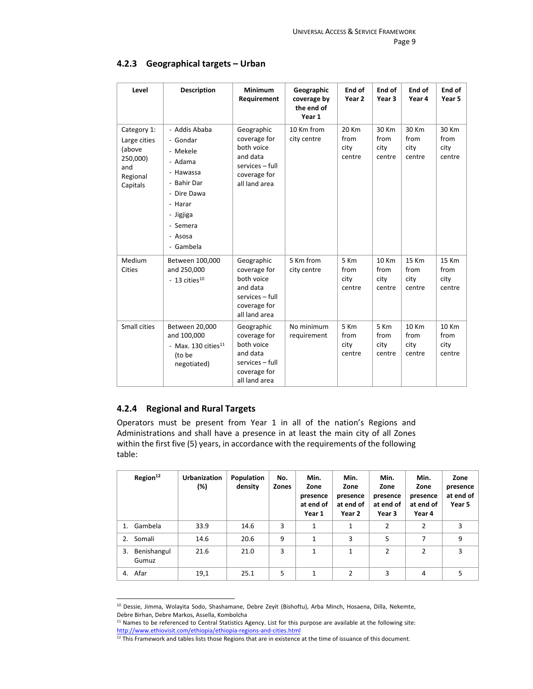| Level                                                                            | <b>Description</b>                                                                                                                                      | <b>Minimum</b><br>Requirement                                                                            | Geographic<br>coverage by<br>the end of<br>Year 1 | End of<br>Year 2                | End of<br>Year <sub>3</sub>     | End of<br>Year 4                | End of<br>Year 5                |
|----------------------------------------------------------------------------------|---------------------------------------------------------------------------------------------------------------------------------------------------------|----------------------------------------------------------------------------------------------------------|---------------------------------------------------|---------------------------------|---------------------------------|---------------------------------|---------------------------------|
| Category 1:<br>Large cities<br>(above<br>250,000)<br>and<br>Regional<br>Capitals | - Addis Ababa<br>- Gondar<br>- Mekele<br>- Adama<br>- Hawassa<br>- Bahir Dar<br>- Dire Dawa<br>- Harar<br>- Jigjiga<br>- Semera<br>- Asosa<br>- Gambela | Geographic<br>coverage for<br>both voice<br>and data<br>services - full<br>coverage for<br>all land area | 10 Km from<br>city centre                         | 20 Km<br>from<br>city<br>centre | 30 Km<br>from<br>city<br>centre | 30 Km<br>from<br>city<br>centre | 30 Km<br>from<br>city<br>centre |
| Medium<br>Cities                                                                 | Between 100,000<br>and 250,000<br>- 13 cities $^{10}$                                                                                                   | Geographic<br>coverage for<br>both voice<br>and data<br>services - full<br>coverage for<br>all land area | 5 Km from<br>city centre                          | 5 Km<br>from<br>city<br>centre  | 10 Km<br>from<br>city<br>centre | 15 Km<br>from<br>city<br>centre | 15 Km<br>from<br>city<br>centre |
| Small cities                                                                     | Between 20,000<br>and 100,000<br>- Max. 130 cities $^{11}$<br>(to be<br>negotiated)                                                                     | Geographic<br>coverage for<br>both voice<br>and data<br>services - full<br>coverage for<br>all land area | No minimum<br>requirement                         | 5 Km<br>from<br>city<br>centre  | 5 Km<br>from<br>city<br>centre  | 10 Km<br>from<br>city<br>centre | 10 Km<br>from<br>city<br>centre |

#### **4.2.3 Geographical targets – Urban**

#### **4.2.4 Regional and Rural Targets**

Operators must be present from Year 1 in all of the nation's Regions and Administrations and shall have a presence in at least the main city of all Zones within the first five (5) years, in accordance with the requirements of the following table:

|    | Region <sup>12</sup> | <b>Urbanization</b><br>(%) | Population<br>density | No.<br><b>Zones</b> | Min.<br>Zone<br>presence<br>at end of<br>Year 1 | Min.<br>Zone<br>presence<br>at end of<br>Year 2 | Min.<br>Zone<br>presence<br>at end of<br>Year 3 | Min.<br>Zone<br>presence<br>at end of<br>Year 4 | Zone<br>presence<br>at end of<br>Year 5 |
|----|----------------------|----------------------------|-----------------------|---------------------|-------------------------------------------------|-------------------------------------------------|-------------------------------------------------|-------------------------------------------------|-----------------------------------------|
| 1. | Gambela              | 33.9                       | 14.6                  | 3                   | $\mathbf{1}$                                    | 1                                               | $\overline{2}$                                  | $\overline{2}$                                  | 3                                       |
| 2. | Somali               | 14.6                       | 20.6                  | 9                   | $\mathbf{1}$                                    | 3                                               | 5                                               | 7                                               | 9                                       |
| 3. | Benishangul<br>Gumuz | 21.6                       | 21.0                  | 3                   | $\mathbf{1}$                                    | 1                                               | $\overline{2}$                                  | $\mathfrak z$                                   | 3                                       |
|    | 4. Afar              | 19,1                       | 25.1                  | 5                   | $\mathbf{1}$                                    | 2                                               | 3                                               | 4                                               | 5                                       |

<sup>&</sup>lt;sup>10</sup> Dessie, Jimma, Wolayita Sodo, Shashamane, Debre Zeyit (Bishoftu), Arba Minch, Hosaena, Dilla, Nekemte, Debre Birhan, Debre Markos, Assella, Kombolcha

<sup>&</sup>lt;sup>11</sup> Names to be referenced to Central Statistics Agency. List for this purpose are available at the following site: http://www.ethiovisit.com/ethiopia/ethiopia‐regions‐and‐cities.html

 $12$  This Framework and tables lists those Regions that are in existence at the time of issuance of this document.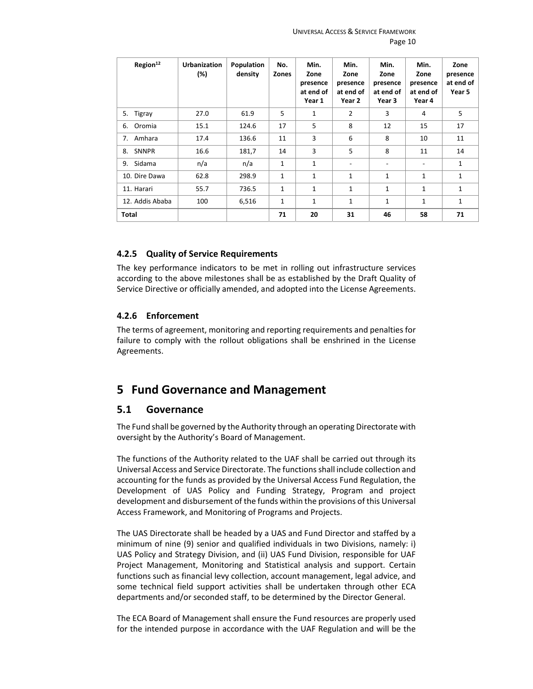| Region <sup>12</sup> | <b>Urbanization</b><br>(%) | <b>Population</b><br>density | No.<br>Zones | Min.<br>Zone<br>presence<br>at end of<br>Year 1 | Min.<br>Zone<br>presence<br>at end of<br>Year 2 | Min.<br>Zone<br>presence<br>at end of<br>Year 3 | Min.<br>Zone<br>presence<br>at end of<br>Year 4 | Zone<br>presence<br>at end of<br>Year 5 |
|----------------------|----------------------------|------------------------------|--------------|-------------------------------------------------|-------------------------------------------------|-------------------------------------------------|-------------------------------------------------|-----------------------------------------|
| Tigray<br>5.         | 27.0                       | 61.9                         | 5            | $\mathbf{1}$                                    | $\overline{2}$                                  | 3                                               | 4                                               | 5                                       |
| Oromia<br>6.         | 15.1                       | 124.6                        | 17           | 5                                               | 8                                               | 12                                              | 15                                              | 17                                      |
| Amhara<br>7.         | 17.4                       | 136.6                        | 11           | 3                                               | 6                                               | 8                                               | 10                                              | 11                                      |
| <b>SNNPR</b><br>8.   | 16.6                       | 181,7                        | 14           | 3                                               | 5                                               | 8                                               | 11                                              | 14                                      |
| Sidama<br>9.         | n/a                        | n/a                          | 1            | $\mathbf{1}$                                    | $\overline{\phantom{a}}$                        |                                                 | $\overline{\phantom{a}}$                        | $\mathbf{1}$                            |
| 10. Dire Dawa        | 62.8                       | 298.9                        | 1            | 1                                               | 1                                               | $\mathbf{1}$                                    | 1                                               | $\mathbf{1}$                            |
| 11. Harari           | 55.7                       | 736.5                        | 1            | $\mathbf{1}$                                    | 1                                               | $\mathbf{1}$                                    | 1                                               | $\mathbf{1}$                            |
| 12. Addis Ababa      | 100                        | 6,516                        | 1            | 1                                               | $\mathbf{1}$                                    | $\mathbf{1}$                                    | 1                                               | $\mathbf{1}$                            |
| <b>Total</b>         |                            |                              | 71           | 20                                              | 31                                              | 46                                              | 58                                              | 71                                      |

#### **4.2.5 Quality of Service Requirements**

The key performance indicators to be met in rolling out infrastructure services according to the above milestones shall be as established by the Draft Quality of Service Directive or officially amended, and adopted into the License Agreements.

#### **4.2.6 Enforcement**

The terms of agreement, monitoring and reporting requirements and penalties for failure to comply with the rollout obligations shall be enshrined in the License Agreements.

## **5 Fund Governance and Management**

#### **5.1 Governance**

The Fund shall be governed by the Authority through an operating Directorate with oversight by the Authority's Board of Management.

The functions of the Authority related to the UAF shall be carried out through its Universal Access and Service Directorate. The functions shall include collection and accounting for the funds as provided by the Universal Access Fund Regulation, the Development of UAS Policy and Funding Strategy, Program and project development and disbursement of the funds within the provisions of this Universal Access Framework, and Monitoring of Programs and Projects.

The UAS Directorate shall be headed by a UAS and Fund Director and staffed by a minimum of nine (9) senior and qualified individuals in two Divisions, namely: i) UAS Policy and Strategy Division, and (ii) UAS Fund Division, responsible for UAF Project Management, Monitoring and Statistical analysis and support. Certain functions such as financial levy collection, account management, legal advice, and some technical field support activities shall be undertaken through other ECA departments and/or seconded staff, to be determined by the Director General.

The ECA Board of Management shall ensure the Fund resources are properly used for the intended purpose in accordance with the UAF Regulation and will be the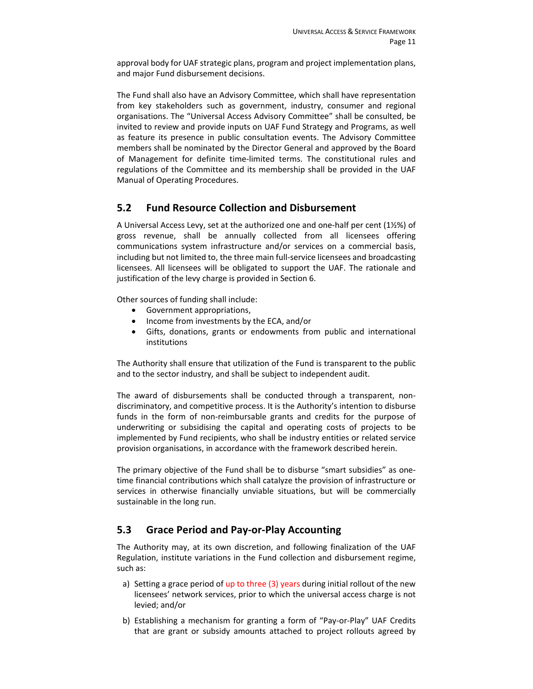approval body for UAF strategic plans, program and project implementation plans, and major Fund disbursement decisions.

The Fund shall also have an Advisory Committee, which shall have representation from key stakeholders such as government, industry, consumer and regional organisations. The "Universal Access Advisory Committee" shall be consulted, be invited to review and provide inputs on UAF Fund Strategy and Programs, as well as feature its presence in public consultation events. The Advisory Committee members shall be nominated by the Director General and approved by the Board of Management for definite time‐limited terms. The constitutional rules and regulations of the Committee and its membership shall be provided in the UAF Manual of Operating Procedures.

#### **5.2 Fund Resource Collection and Disbursement**

A Universal Access Levy, set at the authorized one and one‐half per cent (1½%) of gross revenue, shall be annually collected from all licensees offering communications system infrastructure and/or services on a commercial basis, including but not limited to, the three main full‐service licensees and broadcasting licensees. All licensees will be obligated to support the UAF. The rationale and justification of the levy charge is provided in Section 6.

Other sources of funding shall include:

- Government appropriations,
- Income from investments by the ECA, and/or
- Gifts, donations, grants or endowments from public and international institutions

The Authority shall ensure that utilization of the Fund is transparent to the public and to the sector industry, and shall be subject to independent audit.

The award of disbursements shall be conducted through a transparent, non‐ discriminatory, and competitive process. It is the Authority's intention to disburse funds in the form of non-reimbursable grants and credits for the purpose of underwriting or subsidising the capital and operating costs of projects to be implemented by Fund recipients, who shall be industry entities or related service provision organisations, in accordance with the framework described herein.

The primary objective of the Fund shall be to disburse "smart subsidies" as one‐ time financial contributions which shall catalyze the provision of infrastructure or services in otherwise financially unviable situations, but will be commercially sustainable in the long run.

#### **5.3 Grace Period and Pay‐or‐Play Accounting**

The Authority may, at its own discretion, and following finalization of the UAF Regulation, institute variations in the Fund collection and disbursement regime, such as:

- a) Setting a grace period of up to three (3) years during initial rollout of the new licensees' network services, prior to which the universal access charge is not levied; and/or
- b) Establishing a mechanism for granting a form of "Pay-or-Play" UAF Credits that are grant or subsidy amounts attached to project rollouts agreed by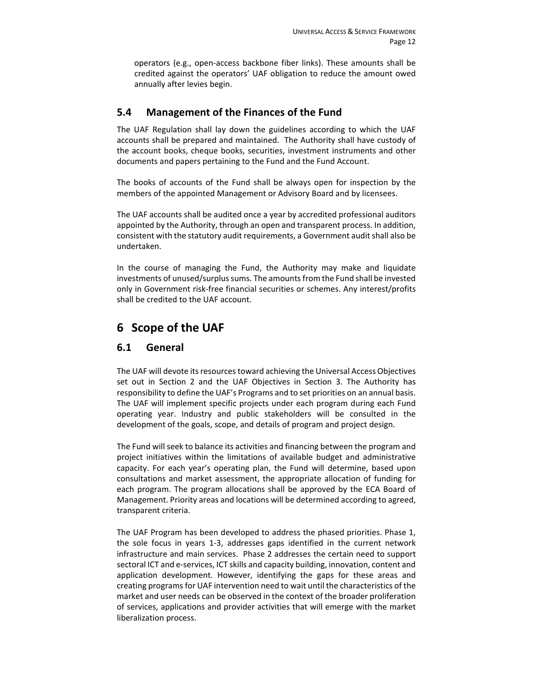operators (e.g., open‐access backbone fiber links). These amounts shall be credited against the operators' UAF obligation to reduce the amount owed annually after levies begin.

#### **5.4 Management of the Finances of the Fund**

The UAF Regulation shall lay down the guidelines according to which the UAF accounts shall be prepared and maintained. The Authority shall have custody of the account books, cheque books, securities, investment instruments and other documents and papers pertaining to the Fund and the Fund Account.

The books of accounts of the Fund shall be always open for inspection by the members of the appointed Management or Advisory Board and by licensees.

The UAF accounts shall be audited once a year by accredited professional auditors appointed by the Authority, through an open and transparent process. In addition, consistent with the statutory audit requirements, a Government audit shall also be undertaken.

In the course of managing the Fund, the Authority may make and liquidate investments of unused/surplus sums. The amounts from the Fund shall be invested only in Government risk‐free financial securities or schemes. Any interest/profits shall be credited to the UAF account.

# **6 Scope of the UAF**

#### **6.1 General**

The UAF will devote its resources toward achieving the Universal Access Objectives set out in Section 2 and the UAF Objectives in Section 3. The Authority has responsibility to define the UAF's Programs and to set priorities on an annual basis. The UAF will implement specific projects under each program during each Fund operating year. Industry and public stakeholders will be consulted in the development of the goals, scope, and details of program and project design.

The Fund will seek to balance its activities and financing between the program and project initiatives within the limitations of available budget and administrative capacity. For each year's operating plan, the Fund will determine, based upon consultations and market assessment, the appropriate allocation of funding for each program. The program allocations shall be approved by the ECA Board of Management. Priority areas and locations will be determined according to agreed, transparent criteria.

The UAF Program has been developed to address the phased priorities. Phase 1, the sole focus in years 1-3, addresses gaps identified in the current network infrastructure and main services. Phase 2 addresses the certain need to support sectoral ICT and e‐services, ICT skills and capacity building, innovation, content and application development. However, identifying the gaps for these areas and creating programs for UAF intervention need to wait until the characteristics of the market and user needs can be observed in the context of the broader proliferation of services, applications and provider activities that will emerge with the market liberalization process.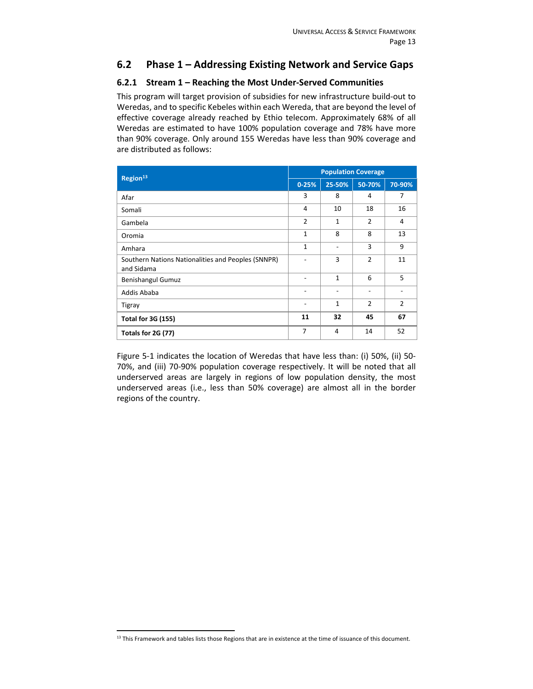## **6.2 Phase 1 – Addressing Existing Network and Service Gaps**

#### **6.2.1 Stream 1 – Reaching the Most Under‐Served Communities**

This program will target provision of subsidies for new infrastructure build‐out to Weredas, and to specific Kebeles within each Wereda, that are beyond the level of effective coverage already reached by Ethio telecom. Approximately 68% of all Weredas are estimated to have 100% population coverage and 78% have more than 90% coverage. Only around 155 Weredas have less than 90% coverage and are distributed as follows:

| Region <sup>13</sup>                                             |                | <b>Population Coverage</b> |                |                |  |  |  |
|------------------------------------------------------------------|----------------|----------------------------|----------------|----------------|--|--|--|
|                                                                  | $0 - 25%$      | 25-50%                     | 50-70%         | 70-90%         |  |  |  |
| Afar                                                             | 3              | 8                          | 4              | 7              |  |  |  |
| Somali                                                           | 4              | 10                         | 18             | 16             |  |  |  |
| Gambela                                                          | $\overline{2}$ | 1                          | $\overline{2}$ | 4              |  |  |  |
| Oromia                                                           | $\mathbf{1}$   | 8                          | 8              | 13             |  |  |  |
| Amhara                                                           | $\mathbf{1}$   | ۰                          | 3              | 9              |  |  |  |
| Southern Nations Nationalities and Peoples (SNNPR)<br>and Sidama |                | 3                          | $\overline{2}$ | 11             |  |  |  |
| <b>Benishangul Gumuz</b>                                         |                | $\mathbf{1}$               | 6              | 5              |  |  |  |
| Addis Ababa                                                      |                | ۰                          | ٠              |                |  |  |  |
| Tigray                                                           |                | $\mathbf{1}$               | $\overline{2}$ | $\overline{2}$ |  |  |  |
| <b>Total for 3G (155)</b>                                        | 11             | 32                         | 45             | 67             |  |  |  |
| Totals for 2G (77)                                               | $\overline{7}$ | $\overline{4}$             | 14             | 52             |  |  |  |

Figure 5-1 indicates the location of Weredas that have less than: (i) 50%, (ii) 50-70%, and (iii) 70‐90% population coverage respectively. It will be noted that all underserved areas are largely in regions of low population density, the most underserved areas (i.e., less than 50% coverage) are almost all in the border regions of the country.

 $13$  This Framework and tables lists those Regions that are in existence at the time of issuance of this document.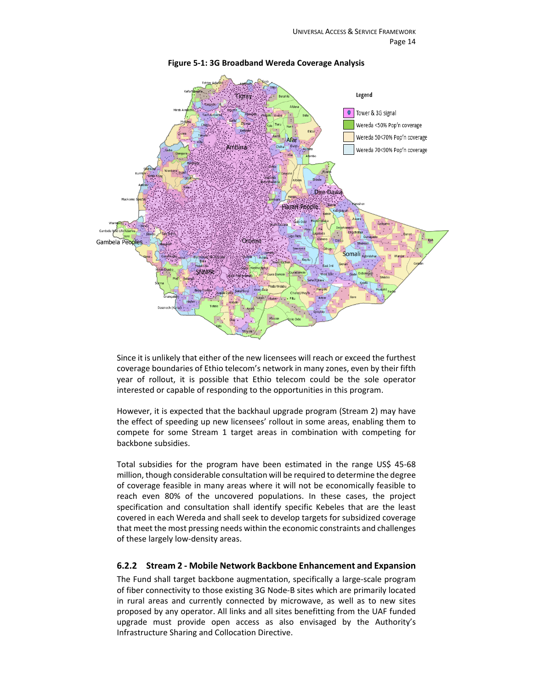

**Figure 5‐1: 3G Broadband Wereda Coverage Analysis** 

Since it is unlikely that either of the new licensees will reach or exceed the furthest coverage boundaries of Ethio telecom's network in many zones, even by their fifth year of rollout, it is possible that Ethio telecom could be the sole operator interested or capable of responding to the opportunities in this program.

However, it is expected that the backhaul upgrade program (Stream 2) may have the effect of speeding up new licensees' rollout in some areas, enabling them to compete for some Stream 1 target areas in combination with competing for backbone subsidies.

Total subsidies for the program have been estimated in the range US\$ 45-68 million, though considerable consultation will be required to determine the degree of coverage feasible in many areas where it will not be economically feasible to reach even 80% of the uncovered populations. In these cases, the project specification and consultation shall identify specific Kebeles that are the least covered in each Wereda and shall seek to develop targets for subsidized coverage that meet the most pressing needs within the economic constraints and challenges of these largely low‐density areas.

#### **6.2.2 Stream 2 ‐ Mobile Network Backbone Enhancement and Expansion**

The Fund shall target backbone augmentation, specifically a large‐scale program of fiber connectivity to those existing 3G Node‐B sites which are primarily located in rural areas and currently connected by microwave, as well as to new sites proposed by any operator. All links and all sites benefitting from the UAF funded upgrade must provide open access as also envisaged by the Authority's Infrastructure Sharing and Collocation Directive.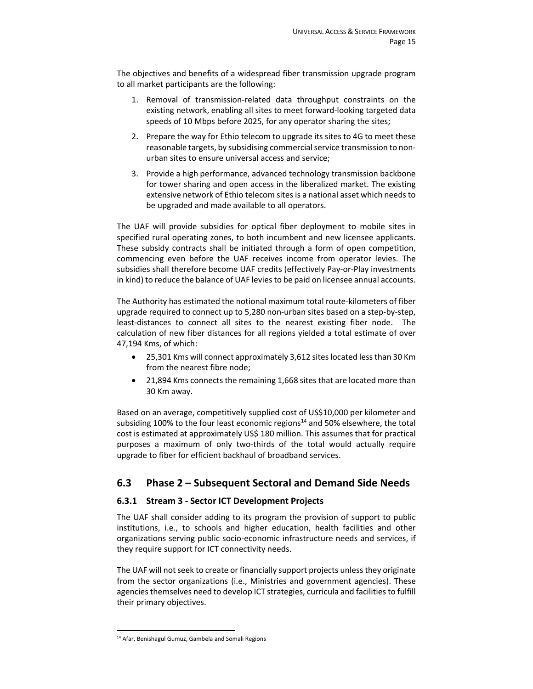The objectives and benefits of a widespread fiber transmission upgrade program to all market participants are the following:

- 1. Removal of transmission‐related data throughput constraints on the existing network, enabling all sites to meet forward‐looking targeted data speeds of 10 Mbps before 2025, for any operator sharing the sites;
- 2. Prepare the way for Ethio telecom to upgrade its sites to 4G to meet these reasonable targets, by subsidising commercial service transmission to non‐ urban sites to ensure universal access and service;
- 3. Provide a high performance, advanced technology transmission backbone for tower sharing and open access in the liberalized market. The existing extensive network of Ethio telecom sites is a national asset which needs to be upgraded and made available to all operators.

The UAF will provide subsidies for optical fiber deployment to mobile sites in specified rural operating zones, to both incumbent and new licensee applicants. These subsidy contracts shall be initiated through a form of open competition, commencing even before the UAF receives income from operator levies. The subsidies shall therefore become UAF credits (effectively Pay‐or‐Play investments in kind) to reduce the balance of UAF levies to be paid on licensee annual accounts.

The Authority has estimated the notional maximum total route‐kilometers of fiber upgrade required to connect up to 5,280 non‐urban sites based on a step‐by‐step, least-distances to connect all sites to the nearest existing fiber node. The calculation of new fiber distances for all regions yielded a total estimate of over 47,194 Kms, of which:

- 25,301 Kms will connect approximately 3,612 sites located less than 30 Km from the nearest fibre node;
- 21,894 Kms connects the remaining 1,668 sites that are located more than 30 Km away.

Based on an average, competitively supplied cost of US\$10,000 per kilometer and subsiding 100% to the four least economic regions $14$  and 50% elsewhere, the total cost is estimated at approximately US\$ 180 million. This assumes that for practical purposes a maximum of only two-thirds of the total would actually require upgrade to fiber for efficient backhaul of broadband services.

#### **6.3 Phase 2 – Subsequent Sectoral and Demand Side Needs**

#### **6.3.1 Stream 3 ‐ Sector ICT Development Projects**

The UAF shall consider adding to its program the provision of support to public institutions, i.e., to schools and higher education, health facilities and other organizations serving public socio‐economic infrastructure needs and services, if they require support for ICT connectivity needs.

The UAF will not seek to create or financially support projects unless they originate from the sector organizations (i.e., Ministries and government agencies). These agencies themselves need to develop ICT strategies, curricula and facilities to fulfill their primary objectives.

<sup>&</sup>lt;sup>14</sup> Afar, Benishagul Gumuz, Gambela and Somali Regions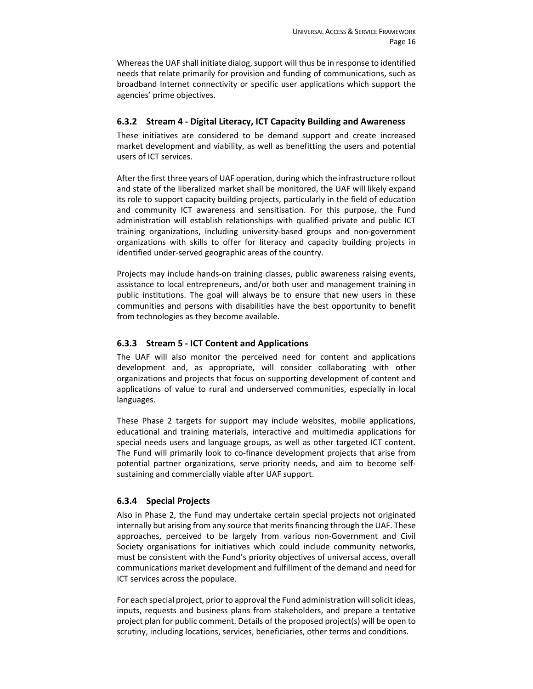Whereas the UAF shall initiate dialog, support will thus be in response to identified needs that relate primarily for provision and funding of communications, such as broadband Internet connectivity or specific user applications which support the agencies' prime objectives.

#### **6.3.2 Stream 4 ‐ Digital Literacy, ICT Capacity Building and Awareness**

These initiatives are considered to be demand support and create increased market development and viability, as well as benefitting the users and potential users of ICT services.

After the first three years of UAF operation, during which the infrastructure rollout and state of the liberalized market shall be monitored, the UAF will likely expand its role to support capacity building projects, particularly in the field of education and community ICT awareness and sensitisation. For this purpose, the Fund administration will establish relationships with qualified private and public ICT training organizations, including university‐based groups and non‐government organizations with skills to offer for literacy and capacity building projects in identified under‐served geographic areas of the country.

Projects may include hands‐on training classes, public awareness raising events, assistance to local entrepreneurs, and/or both user and management training in public institutions. The goal will always be to ensure that new users in these communities and persons with disabilities have the best opportunity to benefit from technologies as they become available.

#### **6.3.3 Stream 5 ‐ ICT Content and Applications**

The UAF will also monitor the perceived need for content and applications development and, as appropriate, will consider collaborating with other organizations and projects that focus on supporting development of content and applications of value to rural and underserved communities, especially in local languages.

These Phase 2 targets for support may include websites, mobile applications, educational and training materials, interactive and multimedia applications for special needs users and language groups, as well as other targeted ICT content. The Fund will primarily look to co-finance development projects that arise from potential partner organizations, serve priority needs, and aim to become self‐ sustaining and commercially viable after UAF support.

#### **6.3.4 Special Projects**

Also in Phase 2, the Fund may undertake certain special projects not originated internally but arising from any source that merits financing through the UAF. These approaches, perceived to be largely from various non‐Government and Civil Society organisations for initiatives which could include community networks, must be consistent with the Fund's priority objectives of universal access, overall communications market development and fulfillment of the demand and need for ICT services across the populace.

For each special project, prior to approval the Fund administration will solicit ideas, inputs, requests and business plans from stakeholders, and prepare a tentative project plan for public comment. Details of the proposed project(s) will be open to scrutiny, including locations, services, beneficiaries, other terms and conditions.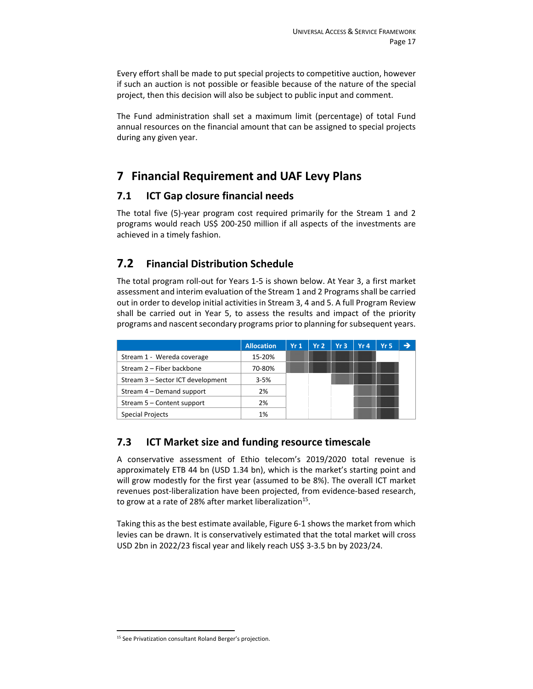Every effort shall be made to put special projects to competitive auction, however if such an auction is not possible or feasible because of the nature of the special project, then this decision will also be subject to public input and comment.

The Fund administration shall set a maximum limit (percentage) of total Fund annual resources on the financial amount that can be assigned to special projects during any given year.

# **7 Financial Requirement and UAF Levy Plans**

#### **7.1 ICT Gap closure financial needs**

The total five (5)-year program cost required primarily for the Stream 1 and 2 programs would reach US\$ 200‐250 million if all aspects of the investments are achieved in a timely fashion.

## **7.2 Financial Distribution Schedule**

The total program roll‐out for Years 1‐5 is shown below. At Year 3, a first market assessment and interim evaluation of the Stream 1 and 2 Programs shall be carried out in order to develop initial activities in Stream 3, 4 and 5. A full Program Review shall be carried out in Year 5, to assess the results and impact of the priority programs and nascent secondary programs prior to planning for subsequent years.

|                                   | <b>Allocation</b> | Yr1 | Yr2 | Yr3 | Yr4 | Yr 5 |  |
|-----------------------------------|-------------------|-----|-----|-----|-----|------|--|
| Stream 1 - Wereda coverage        | 15-20%            |     |     |     |     |      |  |
| Stream 2 - Fiber backbone         | 70-80%            |     |     |     |     |      |  |
| Stream 3 - Sector ICT development | $3 - 5%$          |     |     |     |     |      |  |
| Stream 4 - Demand support         | 2%                |     |     |     |     |      |  |
| Stream 5 – Content support        | 2%                |     |     |     |     |      |  |
| <b>Special Projects</b>           | 1%                |     |     |     |     |      |  |

#### **7.3 ICT Market size and funding resource timescale**

A conservative assessment of Ethio telecom's 2019/2020 total revenue is approximately ETB 44 bn (USD 1.34 bn), which is the market's starting point and will grow modestly for the first year (assumed to be 8%). The overall ICT market revenues post‐liberalization have been projected, from evidence‐based research, to grow at a rate of 28% after market liberalization $^{15}$ .

Taking this as the best estimate available, Figure 6‐1 shows the market from which levies can be drawn. It is conservatively estimated that the total market will cross USD 2bn in 2022/23 fiscal year and likely reach US\$ 3‐3.5 bn by 2023/24.

<sup>&</sup>lt;sup>15</sup> See Privatization consultant Roland Berger's projection.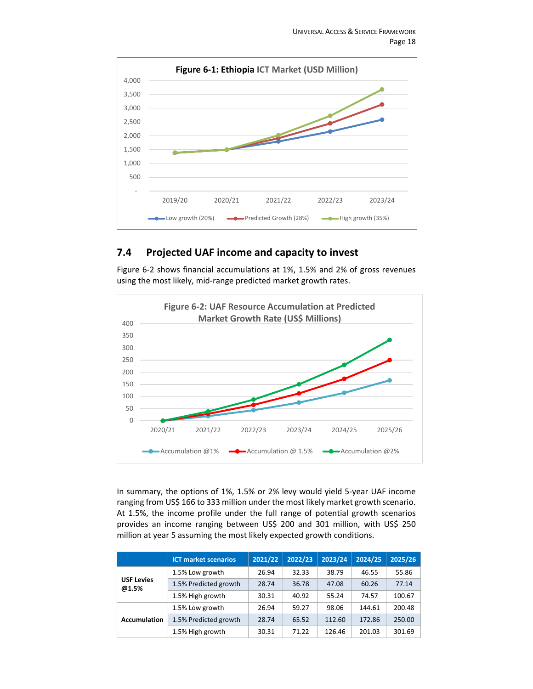

## **7.4 Projected UAF income and capacity to invest**

Figure 6‐2 shows financial accumulations at 1%, 1.5% and 2% of gross revenues using the most likely, mid‐range predicted market growth rates.



In summary, the options of 1%, 1.5% or 2% levy would yield 5‐year UAF income ranging from US\$ 166 to 333 million under the most likely market growth scenario. At 1.5%, the income profile under the full range of potential growth scenarios provides an income ranging between US\$ 200 and 301 million, with US\$ 250 million at year 5 assuming the most likely expected growth conditions.

|                            | <b>ICT market scenarios</b> | 2021/22 | 2022/23 | 2023/24 | 2024/25 | 2025/26 |
|----------------------------|-----------------------------|---------|---------|---------|---------|---------|
|                            | 1.5% Low growth             | 26.94   | 32.33   | 38.79   | 46.55   | 55.86   |
| <b>USF Levies</b><br>@1.5% | 1.5% Predicted growth       | 28.74   | 36.78   | 47.08   | 60.26   | 77.14   |
|                            | 1.5% High growth            | 30.31   | 40.92   | 55.24   | 74.57   | 100.67  |
|                            | 1.5% Low growth             | 26.94   | 59.27   | 98.06   | 144.61  | 200.48  |
| <b>Accumulation</b>        | 1.5% Predicted growth       | 28.74   | 65.52   | 112.60  | 172.86  | 250.00  |
|                            | 1.5% High growth            | 30.31   | 71.22   | 126.46  | 201.03  | 301.69  |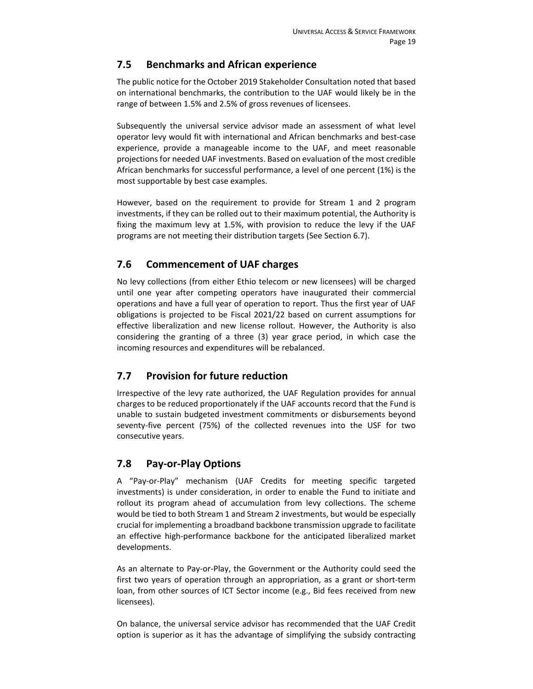### **7.5 Benchmarks and African experience**

The public notice for the October 2019 Stakeholder Consultation noted that based on international benchmarks, the contribution to the UAF would likely be in the range of between 1.5% and 2.5% of gross revenues of licensees.

Subsequently the universal service advisor made an assessment of what level operator levy would fit with international and African benchmarks and best‐case experience, provide a manageable income to the UAF, and meet reasonable projections for needed UAF investments. Based on evaluation of the most credible African benchmarks for successful performance, a level of one percent (1%) is the most supportable by best case examples.

However, based on the requirement to provide for Stream 1 and 2 program investments, if they can be rolled out to their maximum potential, the Authority is fixing the maximum levy at 1.5%, with provision to reduce the levy if the UAF programs are not meeting their distribution targets (See Section 6.7).

## **7.6 Commencement of UAF charges**

No levy collections (from either Ethio telecom or new licensees) will be charged until one year after competing operators have inaugurated their commercial operations and have a full year of operation to report. Thus the first year of UAF obligations is projected to be Fiscal 2021/22 based on current assumptions for effective liberalization and new license rollout. However, the Authority is also considering the granting of a three (3) year grace period, in which case the incoming resources and expenditures will be rebalanced.

## **7.7 Provision for future reduction**

Irrespective of the levy rate authorized, the UAF Regulation provides for annual charges to be reduced proportionately if the UAF accounts record that the Fund is unable to sustain budgeted investment commitments or disbursements beyond seventy-five percent (75%) of the collected revenues into the USF for two consecutive years.

#### **7.8 Pay‐or‐Play Options**

A "Pay‐or‐Play" mechanism (UAF Credits for meeting specific targeted investments) is under consideration, in order to enable the Fund to initiate and rollout its program ahead of accumulation from levy collections. The scheme would be tied to both Stream 1 and Stream 2 investments, but would be especially crucial for implementing a broadband backbone transmission upgrade to facilitate an effective high-performance backbone for the anticipated liberalized market developments.

As an alternate to Pay‐or‐Play, the Government or the Authority could seed the first two years of operation through an appropriation, as a grant or short-term loan, from other sources of ICT Sector income (e.g., Bid fees received from new licensees).

On balance, the universal service advisor has recommended that the UAF Credit option is superior as it has the advantage of simplifying the subsidy contracting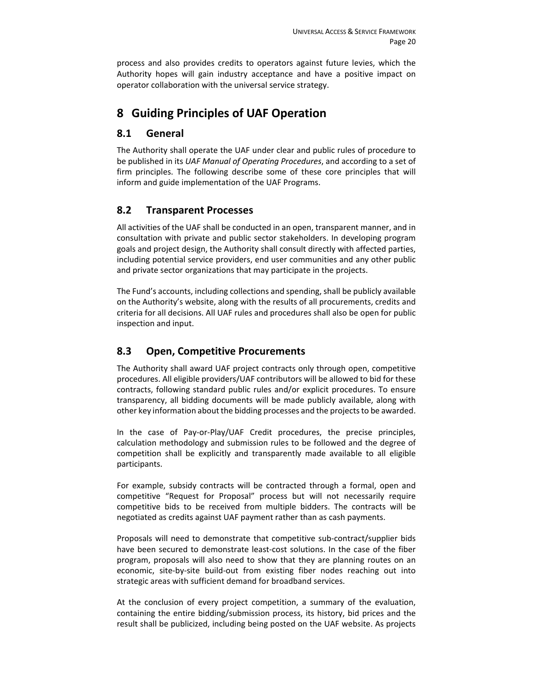process and also provides credits to operators against future levies, which the Authority hopes will gain industry acceptance and have a positive impact on operator collaboration with the universal service strategy.

# **8 Guiding Principles of UAF Operation**

## **8.1 General**

The Authority shall operate the UAF under clear and public rules of procedure to be published in its *UAF Manual of Operating Procedures*, and according to a set of firm principles. The following describe some of these core principles that will inform and guide implementation of the UAF Programs.

## **8.2 Transparent Processes**

All activities of the UAF shall be conducted in an open, transparent manner, and in consultation with private and public sector stakeholders. In developing program goals and project design, the Authority shall consult directly with affected parties, including potential service providers, end user communities and any other public and private sector organizations that may participate in the projects.

The Fund's accounts, including collections and spending, shall be publicly available on the Authority's website, along with the results of all procurements, credits and criteria for all decisions. All UAF rules and procedures shall also be open for public inspection and input.

## **8.3 Open, Competitive Procurements**

The Authority shall award UAF project contracts only through open, competitive procedures. All eligible providers/UAF contributors will be allowed to bid for these contracts, following standard public rules and/or explicit procedures. To ensure transparency, all bidding documents will be made publicly available, along with other key information about the bidding processes and the projects to be awarded.

In the case of Pay‐or‐Play/UAF Credit procedures, the precise principles, calculation methodology and submission rules to be followed and the degree of competition shall be explicitly and transparently made available to all eligible participants.

For example, subsidy contracts will be contracted through a formal, open and competitive "Request for Proposal" process but will not necessarily require competitive bids to be received from multiple bidders. The contracts will be negotiated as credits against UAF payment rather than as cash payments.

Proposals will need to demonstrate that competitive sub‐contract/supplier bids have been secured to demonstrate least-cost solutions. In the case of the fiber program, proposals will also need to show that they are planning routes on an economic, site-by-site build-out from existing fiber nodes reaching out into strategic areas with sufficient demand for broadband services.

At the conclusion of every project competition, a summary of the evaluation, containing the entire bidding/submission process, its history, bid prices and the result shall be publicized, including being posted on the UAF website. As projects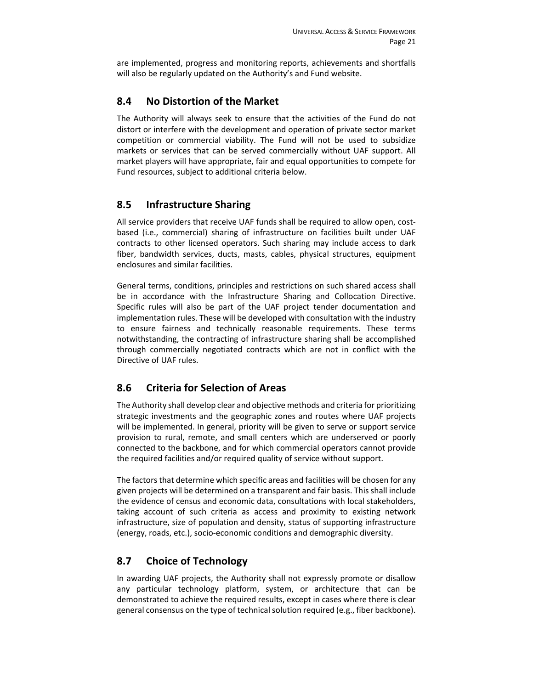are implemented, progress and monitoring reports, achievements and shortfalls will also be regularly updated on the Authority's and Fund website.

### **8.4 No Distortion of the Market**

The Authority will always seek to ensure that the activities of the Fund do not distort or interfere with the development and operation of private sector market competition or commercial viability. The Fund will not be used to subsidize markets or services that can be served commercially without UAF support. All market players will have appropriate, fair and equal opportunities to compete for Fund resources, subject to additional criteria below.

## **8.5 Infrastructure Sharing**

All service providers that receive UAF funds shall be required to allow open, cost‐ based (i.e., commercial) sharing of infrastructure on facilities built under UAF contracts to other licensed operators. Such sharing may include access to dark fiber, bandwidth services, ducts, masts, cables, physical structures, equipment enclosures and similar facilities.

General terms, conditions, principles and restrictions on such shared access shall be in accordance with the Infrastructure Sharing and Collocation Directive. Specific rules will also be part of the UAF project tender documentation and implementation rules. These will be developed with consultation with the industry to ensure fairness and technically reasonable requirements. These terms notwithstanding, the contracting of infrastructure sharing shall be accomplished through commercially negotiated contracts which are not in conflict with the Directive of UAF rules.

## **8.6 Criteria for Selection of Areas**

The Authority shall develop clear and objective methods and criteria for prioritizing strategic investments and the geographic zones and routes where UAF projects will be implemented. In general, priority will be given to serve or support service provision to rural, remote, and small centers which are underserved or poorly connected to the backbone, and for which commercial operators cannot provide the required facilities and/or required quality of service without support.

The factors that determine which specific areas and facilities will be chosen for any given projects will be determined on a transparent and fair basis. This shall include the evidence of census and economic data, consultations with local stakeholders, taking account of such criteria as access and proximity to existing network infrastructure, size of population and density, status of supporting infrastructure (energy, roads, etc.), socio‐economic conditions and demographic diversity.

## **8.7 Choice of Technology**

In awarding UAF projects, the Authority shall not expressly promote or disallow any particular technology platform, system, or architecture that can be demonstrated to achieve the required results, except in cases where there is clear general consensus on the type of technical solution required (e.g., fiber backbone).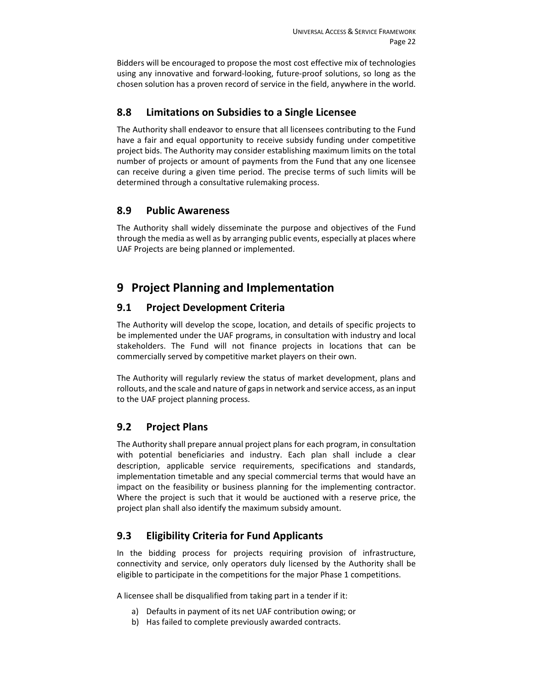Bidders will be encouraged to propose the most cost effective mix of technologies using any innovative and forward‐looking, future‐proof solutions, so long as the chosen solution has a proven record of service in the field, anywhere in the world.

#### **8.8 Limitations on Subsidies to a Single Licensee**

The Authority shall endeavor to ensure that all licensees contributing to the Fund have a fair and equal opportunity to receive subsidy funding under competitive project bids. The Authority may consider establishing maximum limits on the total number of projects or amount of payments from the Fund that any one licensee can receive during a given time period. The precise terms of such limits will be determined through a consultative rulemaking process.

## **8.9 Public Awareness**

The Authority shall widely disseminate the purpose and objectives of the Fund through the media as well as by arranging public events, especially at places where UAF Projects are being planned or implemented.

# **9 Project Planning and Implementation**

## **9.1 Project Development Criteria**

The Authority will develop the scope, location, and details of specific projects to be implemented under the UAF programs, in consultation with industry and local stakeholders. The Fund will not finance projects in locations that can be commercially served by competitive market players on their own.

The Authority will regularly review the status of market development, plans and rollouts, and the scale and nature of gaps in network and service access, as an input to the UAF project planning process.

#### **9.2 Project Plans**

The Authority shall prepare annual project plans for each program, in consultation with potential beneficiaries and industry. Each plan shall include a clear description, applicable service requirements, specifications and standards, implementation timetable and any special commercial terms that would have an impact on the feasibility or business planning for the implementing contractor. Where the project is such that it would be auctioned with a reserve price, the project plan shall also identify the maximum subsidy amount.

## **9.3 Eligibility Criteria for Fund Applicants**

In the bidding process for projects requiring provision of infrastructure, connectivity and service, only operators duly licensed by the Authority shall be eligible to participate in the competitions for the major Phase 1 competitions.

A licensee shall be disqualified from taking part in a tender if it:

- a) Defaults in payment of its net UAF contribution owing; or
- b) Has failed to complete previously awarded contracts.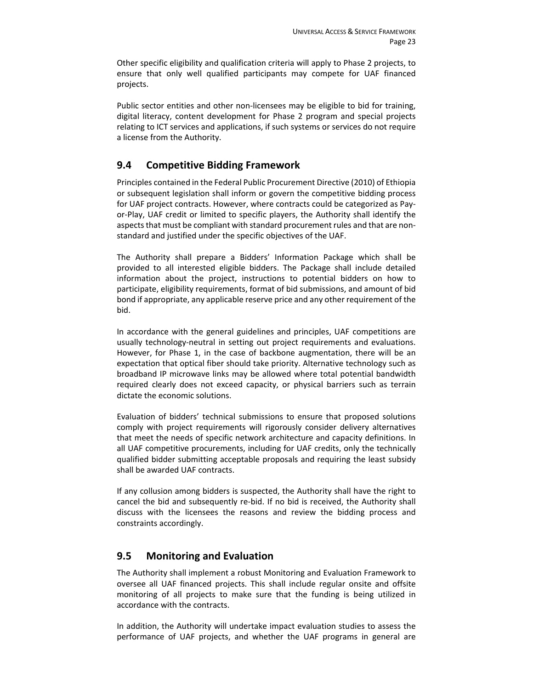Other specific eligibility and qualification criteria will apply to Phase 2 projects, to ensure that only well qualified participants may compete for UAF financed projects.

Public sector entities and other non-licensees may be eligible to bid for training, digital literacy, content development for Phase 2 program and special projects relating to ICT services and applications, if such systems or services do not require a license from the Authority.

## **9.4 Competitive Bidding Framework**

Principles contained in the Federal Public Procurement Directive (2010) of Ethiopia or subsequent legislation shall inform or govern the competitive bidding process for UAF project contracts. However, where contracts could be categorized as Pay‐ or‐Play, UAF credit or limited to specific players, the Authority shall identify the aspects that must be compliant with standard procurement rules and that are non‐ standard and justified under the specific objectives of the UAF.

The Authority shall prepare a Bidders' Information Package which shall be provided to all interested eligible bidders. The Package shall include detailed information about the project, instructions to potential bidders on how to participate, eligibility requirements, format of bid submissions, and amount of bid bond if appropriate, any applicable reserve price and any other requirement of the bid.

In accordance with the general guidelines and principles, UAF competitions are usually technology‐neutral in setting out project requirements and evaluations. However, for Phase 1, in the case of backbone augmentation, there will be an expectation that optical fiber should take priority. Alternative technology such as broadband IP microwave links may be allowed where total potential bandwidth required clearly does not exceed capacity, or physical barriers such as terrain dictate the economic solutions.

Evaluation of bidders' technical submissions to ensure that proposed solutions comply with project requirements will rigorously consider delivery alternatives that meet the needs of specific network architecture and capacity definitions. In all UAF competitive procurements, including for UAF credits, only the technically qualified bidder submitting acceptable proposals and requiring the least subsidy shall be awarded UAF contracts.

If any collusion among bidders is suspected, the Authority shall have the right to cancel the bid and subsequently re‐bid. If no bid is received, the Authority shall discuss with the licensees the reasons and review the bidding process and constraints accordingly.

#### **9.5 Monitoring and Evaluation**

The Authority shall implement a robust Monitoring and Evaluation Framework to oversee all UAF financed projects. This shall include regular onsite and offsite monitoring of all projects to make sure that the funding is being utilized in accordance with the contracts.

In addition, the Authority will undertake impact evaluation studies to assess the performance of UAF projects, and whether the UAF programs in general are